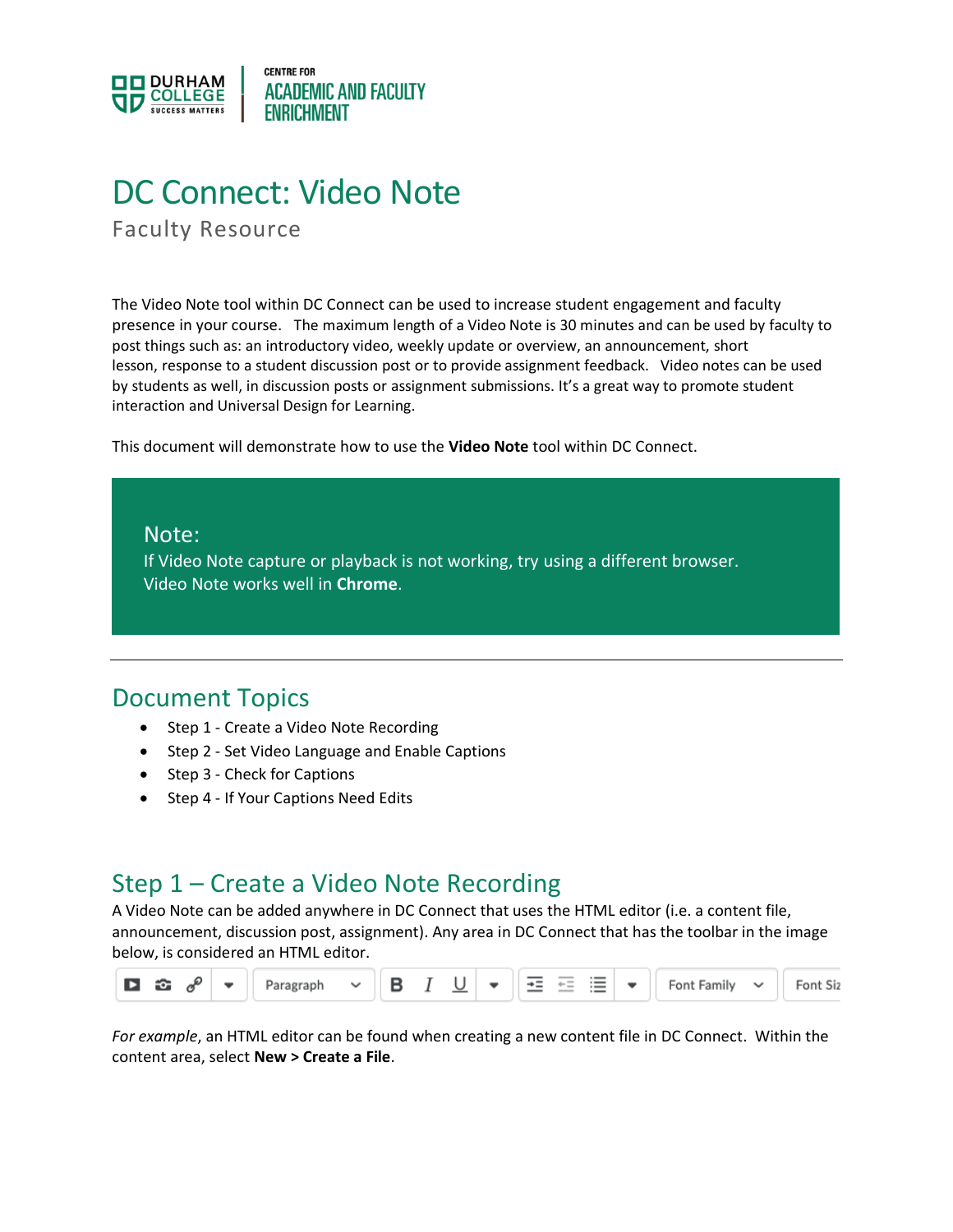

# DC Connect: Video Note

Faculty Resource

The Video Note tool within DC Connect can be used to increase student engagement and faculty presence in your course. The maximum length of a Video Note is 30 minutes and can be used by faculty to post things such as: an introductory video, weekly update or overview, an announcement, short lesson, response to a student discussion post or to provide assignment feedback. Video notes can be used by students as well, in discussion posts or assignment submissions. It's a great way to promote student interaction and Universal Design for Learning.

This document will demonstrate how to use the **Video Note** tool within DC Connect.

### Note:

If Video Note capture or playback is not working, try using a different browser. Video Note works well in **Chrome**.

### Document Topics

- Step 1 Create a Video Note Recording
- Step 2 Set Video Language and Enable Captions
- Step 3 Check for Captions
- Step 4 If Your Captions Need Edits

### Step 1 – Create a Video Note Recording

A Video Note can be added anywhere in DC Connect that uses the HTML editor (i.e. a content file, announcement, discussion post, assignment). Any area in DC Connect that has the toolbar in the image below, is considered an HTML editor.



*For example*, an HTML editor can be found when creating a new content file in DC Connect. Within the content area, select **New > Create a File**.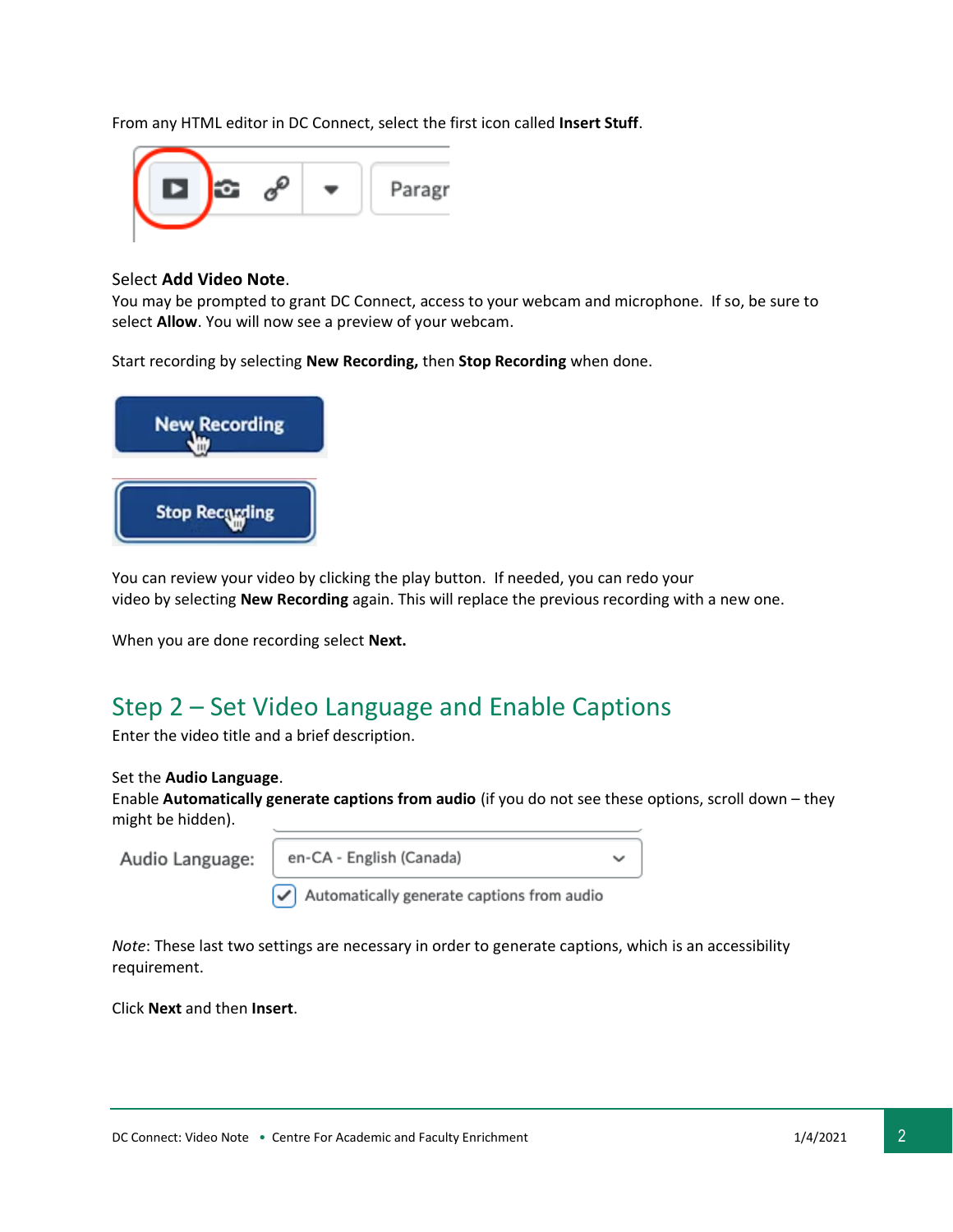From any HTML editor in DC Connect, select the first icon called **Insert Stuff**.



#### Select **Add Video Note**.

You may be prompted to grant DC Connect, access to your webcam and microphone. If so, be sure to select **Allow**. You will now see a preview of your webcam.

Start recording by selecting **New Recording,** then **Stop Recording** when done.



You can review your video by clicking the play button. If needed, you can redo your video by selecting **New Recording** again. This will replace the previous recording with a new one.

When you are done recording select **Next.**

### Step 2 – Set Video Language and Enable Captions

Enter the video title and a brief description.

#### Set the **Audio Language**.

Enable **Automatically generate captions from audio** (if you do not see these options, scroll down – they might be hidden).

Audio Language:

en-CA - English (Canada)

Automatically generate captions from audio

*Note*: These last two settings are necessary in order to generate captions, which is an accessibility requirement.

Click **Next** and then **Insert**.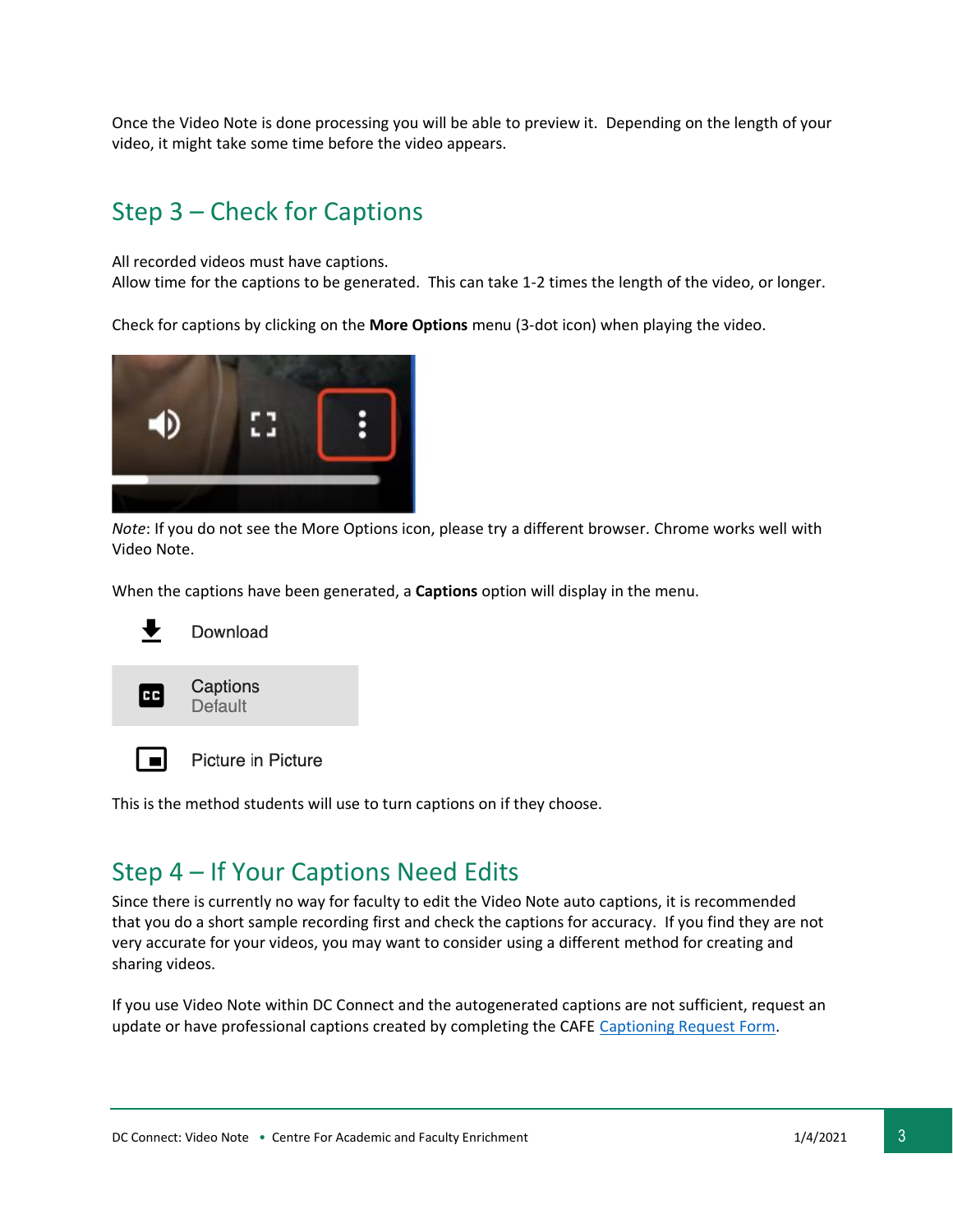Once the Video Note is done processing you will be able to preview it. Depending on the length of your video, it might take some time before the video appears.

## Step 3 – Check for Captions

All recorded videos must have captions.

Allow time for the captions to be generated. This can take 1-2 times the length of the video, or longer.

Check for captions by clicking on the **More Options** menu (3-dot icon) when playing the video.



*Note*: If you do not see the More Options icon, please try a different browser. Chrome works well with Video Note.

When the captions have been generated, a **Captions** option will display in the menu.



Download



Captions

Default



Picture in Picture

This is the method students will use to turn captions on if they choose.

### Step 4 – If Your Captions Need Edits

Since there is currently no way for faculty to edit the Video Note auto captions, it is recommended that you do a short sample recording first and check the captions for accuracy. If you find they are not very accurate for your videos, you may want to consider using a different method for creating and sharing videos.

If you use Video Note within DC Connect and the autogenerated captions are not sufficient, request an update or have professional captions created by completing the CAFE [Captioning Request Form.](https://forms.office.com/Pages/ResponsePage.aspx?id=pKe7SUtCcECnDohundfK764rnzA7cRRDqhhiSajmppxUOEY2VUlTTUtBWktTOVdYOFdJT0NaUzVIMi4u&wdLOR=c29A56D58-5704-F041-99AA-48EF5B0C4937)